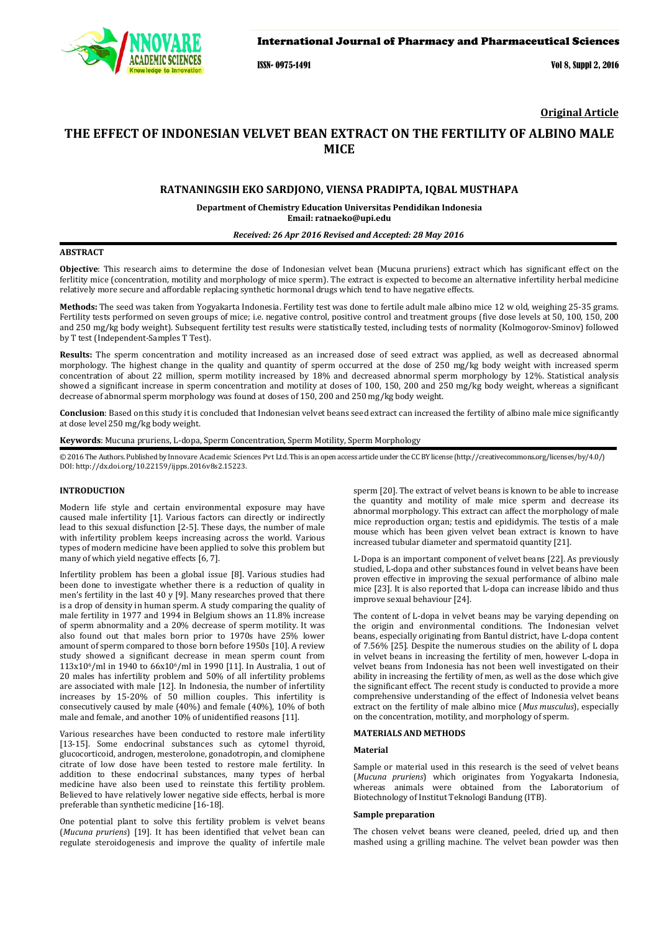

# International Journal of Pharmacy and Pharmaceutical Sciences

ISSN- 0975-1491 Vol 8, Suppl 2, 2016

**Original Article**

# **THE EFFECT OF INDONESIAN VELVET BEAN EXTRACT ON THE FERTILITY OF ALBINO MALE MICE**

# **RATNANINGSIH EKO SARDJONO, VIENSA PRADIPTA, IQBAL MUSTHAPA**

**Department of Chemistry Education Universitas Pendidikan Indonesia Email: ratnaeko@upi.edu**

### *Received: 26 Apr 2016 Revised and Accepted: 28 May 2016*

# **ABSTRACT**

**Objective**: This research aims to determine the dose of Indonesian velvet bean (Mucuna pruriens) extract which has significant effect on the ferlitity mice (concentration, motility and morphology of mice sperm). The extract is expected to become an alternative infertility herbal medicine relatively more secure and affordable replacing synthetic hormonal drugs which tend to have negative effects.

**Methods:** The seed was taken from Yogyakarta Indonesia. Fertility test was done to fertile adult male albino mice 12 w old, weighing 25-35 grams. Fertility tests performed on seven groups of mice; i.e. negative control, positive control and treatment groups (five dose levels at 50, 100, 150, 200 and 250 mg/kg body weight). Subsequent fertility test results were statistically tested, including tests of normality (Kolmogorov-Sminov) followed by T test (Independent-Samples T Test).

**Results:** The sperm concentration and motility increased as an increased dose of seed extract was applied, as well as decreased abnormal morphology. The highest change in the quality and quantity of sperm occurred at the dose of 250 mg/kg body weight with increased sperm concentration of about 22 million, sperm motility increased by 18% and decreased abnormal sperm morphology by 12%. Statistical analysis showed a significant increase in sperm concentration and motility at doses of 100, 150, 200 and 250 mg/kg body weight, whereas a significant decrease of abnormal sperm morphology was found at doses of 150, 200 and 250 mg/kg body weight.

**Conclusion**: Based on this study it is concluded that Indonesian velvet beans seed extract can increased the fertility of albino male mice significantly at dose level 250 mg/kg body weight.

**Keywords**: Mucuna pruriens, L-dopa, Sperm Concentration, Sperm Motility, Sperm Morphology

© 2016 The Authors. Published by Innovare Academic Sciences Pvt Ltd. This is an open access article under the CC BY license [\(http://creativecommons.org/licenses/by/4.0/\)](http://creativecommons.org/licenses/by/4.0/) DOI[: http://dx.doi.org/10.22159/ijpps.2016v8s2.1](http://dx.doi.org/10.22159/ijpps.2016v8s2.xxxx)5223.

# **INTRODUCTION**

Modern life style and certain environmental exposure may have caused male infertility [1]. Various factors can directly or indirectly lead to this sexual disfunction [2-5]. These days, the number of male with infertility problem keeps increasing across the world. Various types of modern medicine have been applied to solve this problem but many of which yield negative effects [6, 7].

Infertility problem has been a global issue [8]. Various studies had been done to investigate whether there is a reduction of quality in men's fertility in the last 40 y [9]. Many researches proved that there is a drop of density in human sperm. A study comparing the quality of male fertility in 1977 and 1994 in Belgium shows an 11.8% increase of sperm abnormality and a 20% decrease of sperm motility. It was also found out that males born prior to 1970s have 25% lower amount of sperm compared to those born before 1950s [10]. A review study showed a significant decrease in mean sperm count from 113x106/ml in 1940 to 66x106/ml in 1990 [11]. In Australia, 1 out of 20 males has infertility problem and 50% of all infertility problems are associated with male [12]. In Indonesia, the number of infertility increases by 15-20% of 50 million couples. This infertility is consecutively caused by male (40%) and female (40%), 10% of both male and female, and another 10% of unidentified reasons [11].

Various researches have been conducted to restore male infertility [13-15]. Some endocrinal substances such as cytomel thyroid, glucocorticoid, androgen, mesterolone, gonadotropin, and clomiphene citrate of low dose have been tested to restore male fertility. In addition to these endocrinal substances , many types of herbal medicine have also been used to reinstate this fertility problem. Believed to have relatively lower negative side effects, herbal is more preferable than synthetic medicine [16-18].

One potential plant to solve this fertility problem is velvet beans (*Mucuna pruriens*) [19]. It has been identified that velvet bean can regulate steroidogenesis and improve the quality of infertile male sperm [20]. The extract of velvet beans is known to be able to increase the quantity and motility of male mice sperm and decrease its abnormal morphology. This extract can affect the morphology of male mice reproduction organ; testis and epididymis. The testis of a male mouse which has been given velvet bean extract is known to have increased tubular diameter and spermatoid quantity [21].

L-Dopa is an important component of velvet beans [22]. As previously studied, L-dopa and other substances found in velvet beans have been proven effective in improving the sexual performance of albino male mice [23]. It is also reported that L-dopa can increase libido and thus improve sexual behaviour [24].

The content of L-dopa in velvet beans may be varying depending on the origin and environmental conditions. The Indonesian velvet beans, especially originating from Bantul district, have L-dopa content of 7.56% [25]. Despite the numerous studies on the ability of L dopa in velvet beans in increasing the fertility of men, however L-dopa in velvet beans from Indonesia has not been well investigated on their ability in increasing the fertility of men, as well as the dose which give the significant effect. The recent study is conducted to provide a more comprehensive understanding of the effect of Indonesia velvet beans extract on the fertility of male albino mice (*Mus musculus*), especially on the concentration, motility, and morphology of sperm.

# **MATERIALS AND METHODS**

#### **Material**

Sample or material used in this research is the seed of velvet beans (*Mucuna pruriens*) which originates from Yogyakarta Indonesia, whereas animals were obtained from the Laboratorium of Biotechnology of Institut Teknologi Bandung (ITB).

#### **Sample preparation**

The chosen velvet beans were cleaned, peeled, dried up, and then mashed using a grilling machine. The velvet bean powder was then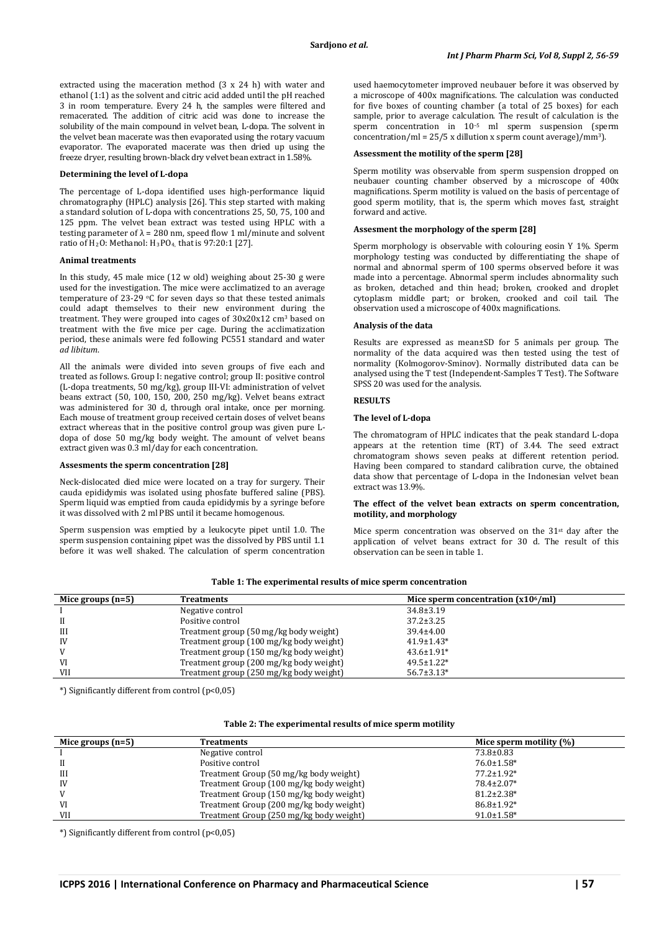extracted using the maceration method (3 x 24 h) with water and ethanol (1:1) as the solvent and citric acid added until the pH reached 3 in room temperature. Every 24 h, the samples were filtered and remacerated. The addition of citric acid was done to increase the solubility of the main compound in velvet bean, L-dopa. The solvent in the velvet bean macerate was then evaporated using the rotary vacuum evaporator. The evaporated macerate was then dried up using the freeze dryer, resulting brown-black dry velvet bean extract in 1.58%.

# **Determining the level of L-dopa**

The percentage of L-dopa identified uses high-performance liquid chromatography (HPLC) analysis [26]. This step started with making a standard solution of L-dopa with concentrations 25, 50, 75, 100 and 125 ppm. The velvet bean extract was tested using HPLC with a testing parameter of  $\lambda$  = 280 nm, speed flow 1 ml/minute and solvent ratio of  $H_2O$ : Methanol:  $H_3PO_4$ , that is 97:20:1 [27].

### **Animal treatments**

In this study, 45 male mice (12 w old) weighing about 25-30 g were used for the investigation. The mice were acclimatized to an average temperature of 23-29  $\degree$ C for seven days so that these tested animals could adapt themselves to their new environment during the treatment. They were grouped into cages of 30x20x12 cm<sup>3</sup> based on treatment with the five mice per cage. During the acclimatization period, these animals were fed following PC551 standard and water *ad libitum*.

All the animals were divided into seven groups of five each and treated as follows. Group I: negative control; group II: positive control (L-dopa treatments, 50 mg/kg), group III-VI: administration of velvet beans extract (50, 100, 150, 200, 250 mg/kg). Velvet beans extract was administered for 30 d, through oral intake, once per morning. Each mouse of treatment group received certain doses of velvet beans extract whereas that in the positive control group was given pure Ldopa of dose 50 mg/kg body weight. The amount of velvet beans extract given was 0.3 ml/day for each concentration.

### **Assesments the sperm concentration [28]**

Neck-dislocated died mice were located on a tray for surgery. Their cauda epididymis was isolated using phosfate buffered saline (PBS). Sperm liquid was emptied from cauda epididymis by a syringe before it was dissolved with 2 ml PBS until it became homogenous.

Sperm suspension was emptied by a leukocyte pipet until 1.0. The sperm suspension containing pipet was the dissolved by PBS until 1.1 before it was well shaked. The calculation of sperm concentration

used haemocytometer improved neubauer before it was observed by a microscope of 400x magnifications. The calculation was conducted for five boxes of counting chamber (a total of 25 boxes) for each sample, prior to average calculation. The result of calculation is the sperm concentration in 10 –5 ml sperm suspension (sperm concentration/ml = 25/5 x dillution x sperm count average)/mm3 ).

#### **Assessment the motility of the sperm [28]**

Sperm motility was observable from sperm suspension dropped on neubauer counting chamber observed by a microscope of 400x magnifications. Sperm motility is valued on the basis of percentage of good sperm motility, that is, the sperm which moves fast, straight forward and active.

# **Assesment the morphology of the sperm [28]**

Sperm morphology is observable with colouring eosin Y 1%. Sperm morphology testing was conducted by differentiating the shape of normal and abnormal sperm of 100 sperms observed before it was made into a percentage. Abnormal sperm includes abnormality such as broken, detached and thin head; broken, crooked and droplet cytoplasm middle part; or broken, crooked and coil tail. The observation used a microscope of 400x magnifications.

#### **Analysis of the data**

Results are expressed as mean±SD for 5 animals per group. The normality of the data acquired was then tested using the test of normality (Kolmogorov-Sminov). Normally distributed data can be analysed using the T test (Independent-Samples T Test). The Software SPSS 20 was used for the analysis.

#### **RESULTS**

#### **The level of L-dopa**

The chromatogram of HPLC indicates that the peak standard L-dopa appears at the retention time (RT) of 3.44. The seed extract chromatogram shows seven peaks at different retention period. Having been compared to standard calibration curve, the obtained data show that percentage of L-dopa in the Indonesian velvet bean extract was 13.9%.

# **The effect of the velvet bean extracts on sperm concentration, motility, and morphology**

Mice sperm concentration was observed on the 31st day after the application of velvet beans extract for 30 d. The result of this observation can be seen in table 1.

| <b>Treatments</b>                       | Mice sperm concentration $(x106/ml)$ |
|-----------------------------------------|--------------------------------------|
| Negative control                        | $34.8 \pm 3.19$                      |
| Positive control                        | $37.2 \pm 3.25$                      |
| Treatment group (50 mg/kg body weight)  | $39.4 \pm 4.00$                      |
| Treatment group (100 mg/kg body weight) | $41.9 \pm 1.43*$                     |
| Treatment group (150 mg/kg body weight) | $43.6 \pm 1.91*$                     |
| Treatment group (200 mg/kg body weight) | $49.5 \pm 1.22*$                     |
| Treatment group (250 mg/kg body weight) | $56.7 \pm 3.13*$                     |
|                                         |                                      |

**Table 1: The experimental results of mice sperm concentration**

\*) Significantly different from control (p<0,05)

### **Table 2: The experimental results of mice sperm motility**

| Mice groups $(n=5)$ | <b>Treatments</b>                       | Mice sperm motility $(\%)$ |
|---------------------|-----------------------------------------|----------------------------|
|                     | Negative control                        | $73.8 \pm 0.83$            |
| H                   | Positive control                        | $76.0 \pm 1.58$ *          |
| III                 | Treatment Group (50 mg/kg body weight)  | $77.2 \pm 1.92*$           |
| IV                  | Treatment Group (100 mg/kg body weight) | 78.4±2.07*                 |
| V                   | Treatment Group (150 mg/kg body weight) | $81.2 \pm 2.38*$           |
| VI                  | Treatment Group (200 mg/kg body weight) | $86.8 \pm 1.92*$           |
| <b>VII</b>          | Treatment Group (250 mg/kg body weight) | $91.0 \pm 1.58$ *          |

\*) Significantly different from control (p<0,05)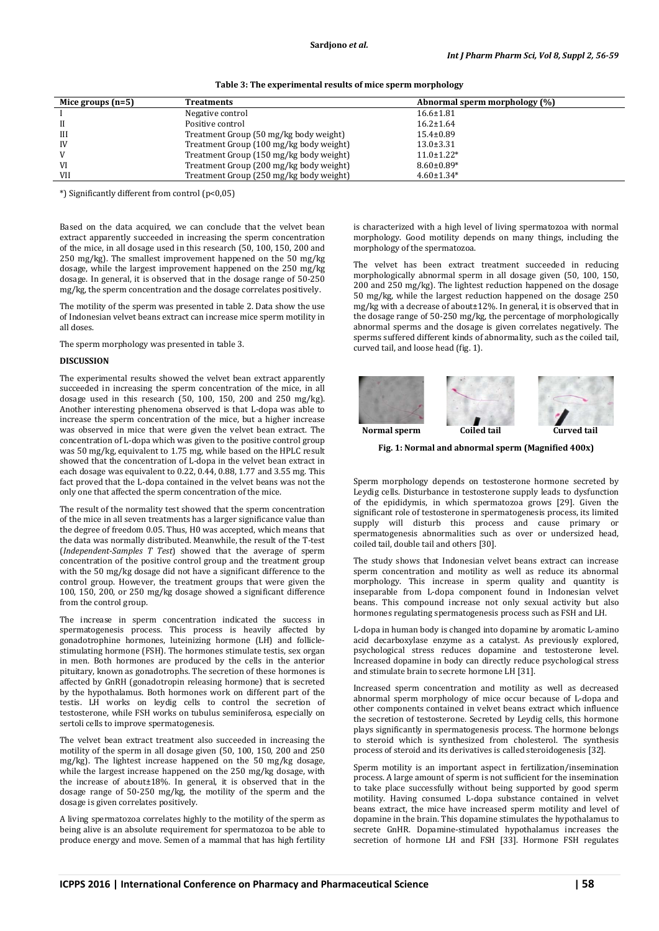| Mice groups $(n=5)$ | <b>Treatments</b>                       | Abnormal sperm morphology (%) |  |
|---------------------|-----------------------------------------|-------------------------------|--|
|                     | Negative control                        | $16.6 \pm 1.81$               |  |
|                     | Positive control                        | $16.2 \pm 1.64$               |  |
| III                 | Treatment Group (50 mg/kg body weight)  | $15.4 \pm 0.89$               |  |
| IV                  | Treatment Group (100 mg/kg body weight) | $13.0 \pm 3.31$               |  |
| V                   | Treatment Group (150 mg/kg body weight) | $11.0 \pm 1.22*$              |  |
| VI                  | Treatment Group (200 mg/kg body weight) | $8.60 \pm 0.89*$              |  |
| <b>VII</b>          | Treatment Group (250 mg/kg body weight) | $4.60 \pm 1.34*$              |  |

**Table 3: The experimental results of mice sperm morphology**

\*) Significantly different from control (p<0,05)

Based on the data acquired, we can conclude that the velvet bean extract apparently succeeded in increasing the sperm concentration of the mice, in all dosage used in this research (50, 100, 150, 200 and 250 mg/kg). The smallest improvement happened on the 50 mg/kg dosage, while the largest improvement happened on the 250 mg/kg dosage. In general, it is observed that in the dosage range of 50-250 mg/kg, the sperm concentration and the dosage correlates positively.

The motility of the sperm was presented in table 2. Data show the use of Indonesian velvet beans extract can increase mice sperm motility in all doses.

The sperm morphology was presented in table 3.

# **DISCUSSION**

The experimental results showed the velvet bean extract apparently succeeded in increasing the sperm concentration of the mice, in all dosage used in this research (50, 100, 150, 200 and 250 mg/kg). Another interesting phenomena observed is that L-dopa was able to increase the sperm concentration of the mice, but a higher increase was observed in mice that were given the velvet bean extract. The concentration of L-dopa which was given to the positive control group was 50 mg/kg, equivalent to 1.75 mg, while based on the HPLC result showed that the concentration of L-dopa in the velvet bean extract in each dosage was equivalent to 0.22, 0.44, 0.88, 1.77 and 3.55 mg. This fact proved that the L-dopa contained in the velvet beans was not the only one that affected the sperm concentration of the mice.

The result of the normality test showed that the sperm concentration of the mice in all seven treatments has a larger significance value than the degree of freedom 0.05. Thus, H0 was accepted, which means that the data was normally distributed. Meanwhile, the result of the T-test (*Independent-Samples T Test*) showed that the average of sperm concentration of the positive control group and the treatment group with the 50 mg/kg dosage did not have a significant difference to the control group. However, the treatment groups that were given the 100, 150, 200, or 250 mg/kg dosage showed a significant difference from the control group.

The increase in sperm concentration indicated the success in spermatogenesis process. This process is heavily affected by gonadotrophine hormones, luteinizing hormone (LH) and folliclestimulating hormone (FSH). The hormones stimulate testis, sex organ in men. Both hormones are produced by the cells in the anterior pituitary, known as gonadotrophs. The secretion of these hormones is affected by GnRH (gonadotropin releasing hormone) that is secreted by the hypothalamus. Both hormones work on different part of the testis. LH works on leydig cells to control the secretion of testosterone, while FSH works on tubulus seminiferosa, especially on sertoli cells to improve spermatogenesis.

The velvet bean extract treatment also succeeded in increasing the motility of the sperm in all dosage given (50, 100, 150, 200 and 250 mg/kg). The lightest increase happened on the 50 mg/kg dosage, while the largest increase happened on the 250 mg/kg dosage, with the increase of about±18%. In general, it is observed that in the dosage range of 50-250 mg/kg, the motility of the sperm and the dosage is given correlates positively.

A living spermatozoa correlates highly to the motility of the sperm as being alive is an absolute requirement for spermatozoa to be able to produce energy and move. Semen of a mammal that has high fertility

is characterized with a high level of living spermatozoa with normal morphology. Good motility depends on many things, including the morphology of the spermatozoa.

The velvet has been extract treatment succeeded in reducing morphologically abnormal sperm in all dosage given (50, 100, 150, 200 and 250 mg/kg). The lightest reduction happened on the dosage 50 mg/kg, while the largest reduction happened on the dosage 250 mg/kg with a decrease of about±12%. In general, it is observed that in the dosage range of 50-250 mg/kg, the percentage of morphologically abnormal sperms and the dosage is given correlates negatively. The sperms suffered different kinds of abnormality, such as the coiled tail, curved tail, and loose head (fig. 1).



**Fig. 1: Normal and abnormal sperm (Magnified 400x)**

Sperm morphology depends on testosterone hormone secreted by Leydig cells. Disturbance in testosterone supply leads to dysfunction of the epididymis, in which spermatozoa grows [29]. Given the significant role of testosterone in spermatogenesis process, its limited supply will disturb this process and cause primary or spermatogenesis abnormalities such as over or undersized head, coiled tail, double tail and others [30].

The study shows that Indonesian velvet beans extract can increase sperm concentration and motility as well as reduce its abnormal morphology. This increase in sperm quality and quantity is inseparable from L-dopa component found in Indonesian velvet beans. This compound increase not only sexual activity but also hormones regulating spermatogenesis process such as FSH and LH.

L-dopa in human body is changed into dopamine by aromatic L-amino acid decarboxylase enzyme as a catalyst. As previously explored, psychological stress reduces dopamine and testosterone level. Increased dopamine in body can directly reduce psychological stress and stimulate brain to secrete hormone LH [31].

Increased sperm concentration and motility as well as decreased abnormal sperm morphology of mice occur because of L-dopa and other components contained in velvet beans extract which influence the secretion of testosterone. Secreted by Leydig cells, this hormone plays significantly in spermatogenesis process. The hormone belongs to steroid which is synthesized from cholesterol. The synthesis process of steroid and its derivatives is called steroidogenesis [32].

Sperm motility is an important aspect in fertilization/insemination process. A large amount of sperm is not sufficient for the insemination to take place successfully without being supported by good sperm motility. Having consumed L-dopa substance contained in velvet beans extract, the mice have increased sperm motility and level of dopamine in the brain. This dopamine stimulates the hypothalamus to secrete GnHR. Dopamine-stimulated hypothalamus increases the secretion of hormone LH and FSH [33]. Hormone FSH regulates